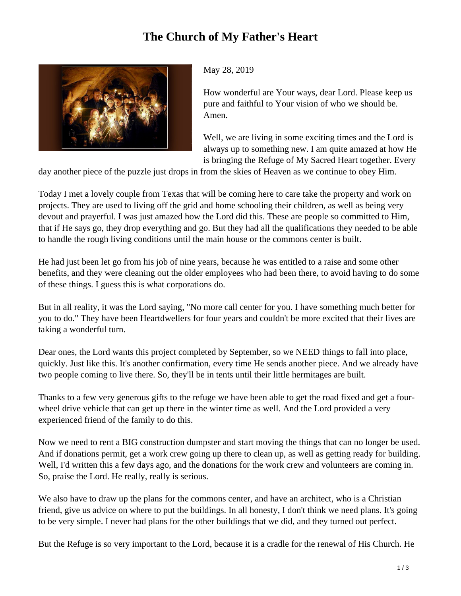

## May 28, 2019

How wonderful are Your ways, dear Lord. Please keep us pure and faithful to Your vision of who we should be. Amen.

Well, we are living in some exciting times and the Lord is always up to something new. I am quite amazed at how He is bringing the Refuge of My Sacred Heart together. Every

day another piece of the puzzle just drops in from the skies of Heaven as we continue to obey Him.

Today I met a lovely couple from Texas that will be coming here to care take the property and work on projects. They are used to living off the grid and home schooling their children, as well as being very devout and prayerful. I was just amazed how the Lord did this. These are people so committed to Him, that if He says go, they drop everything and go. But they had all the qualifications they needed to be able to handle the rough living conditions until the main house or the commons center is built.

He had just been let go from his job of nine years, because he was entitled to a raise and some other benefits, and they were cleaning out the older employees who had been there, to avoid having to do some of these things. I guess this is what corporations do.

But in all reality, it was the Lord saying, "No more call center for you. I have something much better for you to do." They have been Heartdwellers for four years and couldn't be more excited that their lives are taking a wonderful turn.

Dear ones, the Lord wants this project completed by September, so we NEED things to fall into place, quickly. Just like this. It's another confirmation, every time He sends another piece. And we already have two people coming to live there. So, they'll be in tents until their little hermitages are built.

Thanks to a few very generous gifts to the refuge we have been able to get the road fixed and get a fourwheel drive vehicle that can get up there in the winter time as well. And the Lord provided a very experienced friend of the family to do this.

Now we need to rent a BIG construction dumpster and start moving the things that can no longer be used. And if donations permit, get a work crew going up there to clean up, as well as getting ready for building. Well, I'd written this a few days ago, and the donations for the work crew and volunteers are coming in. So, praise the Lord. He really, really is serious.

We also have to draw up the plans for the commons center, and have an architect, who is a Christian friend, give us advice on where to put the buildings. In all honesty, I don't think we need plans. It's going to be very simple. I never had plans for the other buildings that we did, and they turned out perfect.

But the Refuge is so very important to the Lord, because it is a cradle for the renewal of His Church. He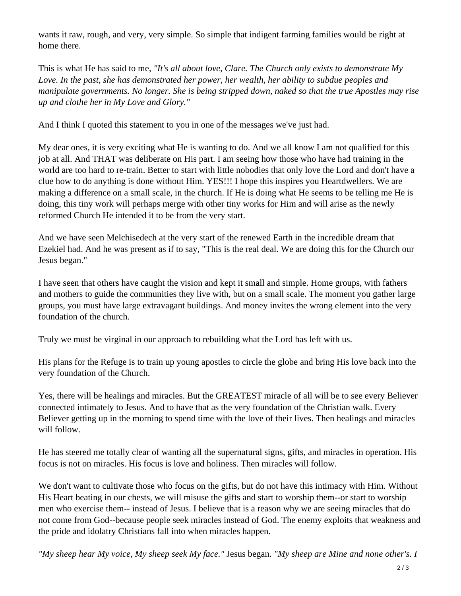wants it raw, rough, and very, very simple. So simple that indigent farming families would be right at home there.

This is what He has said to me, *"It's all about love, Clare. The Church only exists to demonstrate My Love. In the past, she has demonstrated her power, her wealth, her ability to subdue peoples and manipulate governments. No longer. She is being stripped down, naked so that the true Apostles may rise up and clothe her in My Love and Glory."*

And I think I quoted this statement to you in one of the messages we've just had.

My dear ones, it is very exciting what He is wanting to do. And we all know I am not qualified for this job at all. And THAT was deliberate on His part. I am seeing how those who have had training in the world are too hard to re-train. Better to start with little nobodies that only love the Lord and don't have a clue how to do anything is done without Him. YES!!! I hope this inspires you Heartdwellers. We are making a difference on a small scale, in the church. If He is doing what He seems to be telling me He is doing, this tiny work will perhaps merge with other tiny works for Him and will arise as the newly reformed Church He intended it to be from the very start.

And we have seen Melchisedech at the very start of the renewed Earth in the incredible dream that Ezekiel had. And he was present as if to say, "This is the real deal. We are doing this for the Church our Jesus began."

I have seen that others have caught the vision and kept it small and simple. Home groups, with fathers and mothers to guide the communities they live with, but on a small scale. The moment you gather large groups, you must have large extravagant buildings. And money invites the wrong element into the very foundation of the church.

Truly we must be virginal in our approach to rebuilding what the Lord has left with us.

His plans for the Refuge is to train up young apostles to circle the globe and bring His love back into the very foundation of the Church.

Yes, there will be healings and miracles. But the GREATEST miracle of all will be to see every Believer connected intimately to Jesus. And to have that as the very foundation of the Christian walk. Every Believer getting up in the morning to spend time with the love of their lives. Then healings and miracles will follow.

He has steered me totally clear of wanting all the supernatural signs, gifts, and miracles in operation. His focus is not on miracles. His focus is love and holiness. Then miracles will follow.

We don't want to cultivate those who focus on the gifts, but do not have this intimacy with Him. Without His Heart beating in our chests, we will misuse the gifts and start to worship them--or start to worship men who exercise them-- instead of Jesus. I believe that is a reason why we are seeing miracles that do not come from God--because people seek miracles instead of God. The enemy exploits that weakness and the pride and idolatry Christians fall into when miracles happen.

*"My sheep hear My voice, My sheep seek My face."* Jesus began. *"My sheep are Mine and none other's. I*